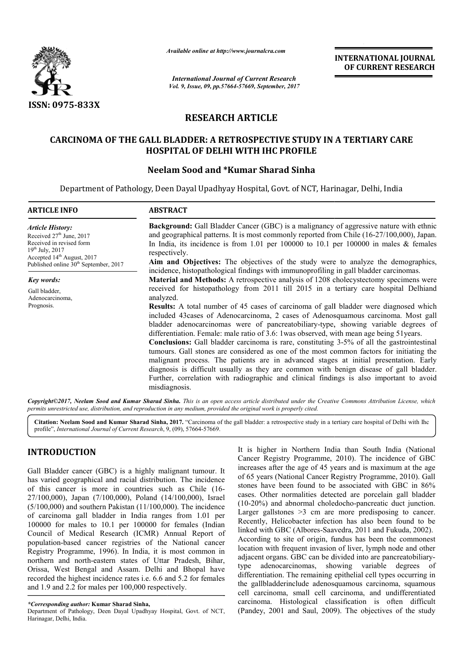

*Available online at http://www.journalcra.com*

*International Journal of Current Research Vol. 9, Issue, 09, pp.57664-57669, September, 2017* **INTERNATIONAL JOURNAL OF CURRENT RESEARCH**

# **RESEARCH ARTICLE**

## **CARCINOMA OF THE GALL BLADDER: A RETROSPECTIVE STUDY IN A TERTIARY CARE A RETROSPECTIVE A TERTIARY CARE HOSPITAL OF DELHI WITH IHC PROFILE**

## **Neelam Sood and \*Kumar Sharad Sinha**

Department of Pathology, Deen Dayal Upadhyay Hospital, Govt. of NCT, Harinagar, Delhi, India

| <b>ARTICLE INFO</b>                                                                                                                                                                                      | <b>ABSTRACT</b>                                                                                                                                                                                                                                                                                                                                                                                                                                                                                                                                                                                                                                                                                                                                                                                                                                                                                                                                                            |
|----------------------------------------------------------------------------------------------------------------------------------------------------------------------------------------------------------|----------------------------------------------------------------------------------------------------------------------------------------------------------------------------------------------------------------------------------------------------------------------------------------------------------------------------------------------------------------------------------------------------------------------------------------------------------------------------------------------------------------------------------------------------------------------------------------------------------------------------------------------------------------------------------------------------------------------------------------------------------------------------------------------------------------------------------------------------------------------------------------------------------------------------------------------------------------------------|
| <b>Article History:</b><br>Received 27 <sup>th</sup> June, 2017<br>Received in revised form<br>$19^{th}$ July, 2017<br>Accepted $14th$ August, 2017<br>Published online 30 <sup>th</sup> September, 2017 | <b>Background:</b> Gall Bladder Cancer (GBC) is a malignancy of aggressive nature with ethnic<br>and geographical patterns. It is most commonly reported from Chile (16-27/100,000), Japan.<br>In India, its incidence is from 1.01 per 100000 to 10.1 per 100000 in males $\&$ females<br>respectively.<br>Aim and Objectives: The objectives of the study were to analyze the demographics,<br>incidence, histopathological findings with immunoprofiling in gall bladder carcinomas.                                                                                                                                                                                                                                                                                                                                                                                                                                                                                    |
| Key words:                                                                                                                                                                                               | <b>Material and Methods:</b> A retrospective analysis of 1208 cholecystectomy specimens were                                                                                                                                                                                                                                                                                                                                                                                                                                                                                                                                                                                                                                                                                                                                                                                                                                                                               |
| Gall bladder,<br>Adenocarcinoma,<br>Prognosis.                                                                                                                                                           | received for histopathology from 2011 till 2015 in a tertiary care hospital Delhiand<br>analyzed.<br><b>Results:</b> A total number of 45 cases of carcinoma of gall bladder were diagnosed which<br>included 43 cases of Adenocarcinoma, 2 cases of Adenosquamous carcinoma. Most gall<br>bladder adenocarcinomas were of pancreatobiliary-type, showing variable degrees of<br>differentiation. Female: male ratio of 3.6: 1 was observed, with mean age being 51 years.<br><b>Conclusions:</b> Gall bladder carcinoma is rare, constituting 3-5% of all the gastrointestinal<br>tumours. Gall stones are considered as one of the most common factors for initiating the<br>malignant process. The patients are in advanced stages at initial presentation. Early<br>diagnosis is difficult usually as they are common with benign disease of gall bladder.<br>Further, correlation with radiographic and clinical findings is also important to avoid<br>misdiagnosis. |

Copyright©2017, Neelam Sood and Kumar Sharad Sinha. This is an open access article distributed under the Creative Commons Attribution License, which permits unrestricted use, distribution, and reproduction in any medium, provided the original work is properly cited.

Citation: Neelam Sood and Kumar Sharad Sinha, 2017. "Carcinoma of the gall bladder: a retrospective study in a tertiary care hospital of Delhi with Ihc profile", *International Journal of Current Research*, 9, (09), 57664-57669.

# **INTRODUCTION**

Gall Bladder cancer (GBC) is a highly malignant tumour. It has varied geographical and racial distribution. The incidence of this cancer is more in countries such as Chile (16 (16- 27/100,000), Japan (7/100,000), Poland (14/100,000), Israel (5/100,000) and southern Pakistan (11/100,000). The incidence of carcinoma gall bladder in India ranges from 1.01 per 100000 for males to 10.1 per 100000 for females (Indian Council of Medical Research (ICMR) Annual Report of population-based cancer registries of the National cancer Registry Programme, 1996). In India, it is most common in northern and north-eastern states of Uttar Pradesh, Bihar, Orissa, West Bengal and Assam. Delhi and Bhopal have recorded the highest incidence rates i.e. 6.6 and 5.2 for females and 1.9 and 2.2 for males per 100,000 respectively. ncer registries of the National cancer<br>, 1996). In India, it is most common in<br>eastern states of Uttar Pradesh, Bihar,<br>,<br>,<br>,<br>l and Assam. Delhi and Bhopal have<br>incidence rates i.e. 6.6 and 5.2 for females

Department of Pathology, Deen Dayal Upadhyay Hospital, Govt. of NCT, Harinagar, Delhi, India.

It is higher in Northern India than South India (National Cancer Registry Programme, 2010 , 2010). The incidence of GBC increases after the age of 45 years and is maximum at the age increases after the age of 45 years and is maximum at the age<br>of 65 years (National Cancer Registry Programme, 2010). Gall stones have been found to be associated with GBC in 86% cases. Other normalities detected are porcelain gall bladder (10-20%) and abnormal choledocho-pancreatic duct junction. Larger gallstones  $>3$  cm are more predisposing to cancer. Recently, Helicobacter infection has also been found to be linked with GBC (Albores-Saavedra, 2011 and Fukuda, 2002). According to site of origin, fundus has been the commonest location with frequent invasion of liver, lymph node and other According to site of origin, fundus has been the commonest location with frequent invasion of liver, lymph node and other adjacent organs. GBC can be divided into are pancreatobiliarytype adenocarcinomas, showing variable degree degrees of differentiation. The remaining epithelial cell types occurring in the gallbladderinclude adenosquamous carcinoma, squamous cell carcinoma, small cell carcinoma, and undifferentiated carcinoma. Histological classification is often difficult differentiation. The remaining epithelial cell types occurring in the gallbladderinclude adenosquamous carcinoma, squamous cell carcinoma, small cell carcinoma, and undifferentiated carcinoma. Histological classification i stones have been found to be associated with GBC in 86% cases. Other normalities detected are porcelain gall bladder (10-20%) and abnormal choledocho-pancreatic duct junction. Larger gallstones >3 cm are more predisposing to cancer<br>Recently, Helicobacter infection has also been found to b<br>linked with GBC (Albores-Saavedra, 2011 and Fukuda, 2002).

*<sup>\*</sup>Corresponding author:* **Kumar Sharad Sinha,**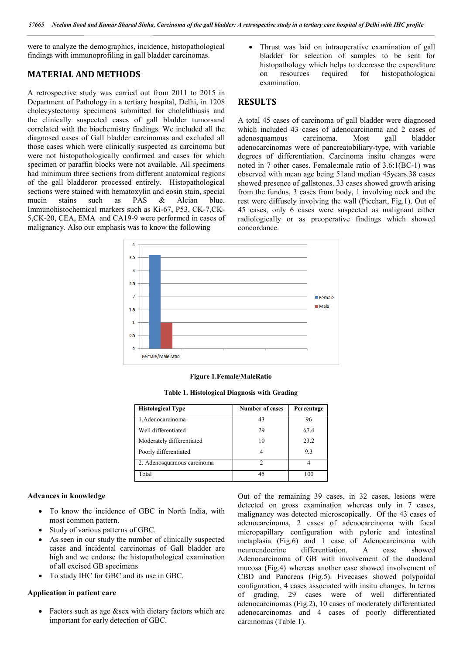were to analyze the demographics, incidence, histopathological findings with immunoprofiling in gall bladder carcinomas.

## **MATERIAL AND METHODS**

A retrospective study was carried out from 2011 to 2015 in Department of Pathology in a tertiary hospital, Delhi, in 1208 cholecystectomy specimens submitted for cholelithiasis and the clinically suspected cases of gall bladder tumorsand correlated with the biochemistry findings. We included all the diagnosed cases of Gall bladder carcinomas and excluded all those cases which were clinically suspected as carcinoma but were not histopathologically confirmed and cases for which specimen or paraffin blocks were not available. All specimens had minimum three sections from different anatomical regions of the gall bladderor processed entirely. Histopathological sections were stained with hematoxylin and eosin stain, special mucin stains such as PAS & Alcian blue. Immunohistochemical markers such as Ki-67, P53, CK-7,CK-5,CK-20, CEA, EMA and CA19-9 were performed in cases of malignancy. Also our emphasis was to know the following

 Thrust was laid on intraoperative examination of gall bladder for selection of samples to be sent for histopathology which helps to decrease the expenditure on resources required for histopathological examination.

## **RESULTS**

A total 45 cases of carcinoma of gall bladder were diagnosed which included 43 cases of adenocarcinoma and 2 cases of adenosquamous carcinoma. Most gall bladder adenocarcinomas were of pancreatobiliary-type, with variable degrees of differentiation. Carcinoma insitu changes were noted in 7 other cases. Female:male ratio of 3.6:1(BC-1) was observed with mean age being 51and median 45years.38 cases showed presence of gallstones. 33 cases showed growth arising from the fundus, 3 cases from body, 1 involving neck and the rest were diffusely involving the wall (Piechart, Fig.1). Out of 45 cases, only 6 cases were suspected as malignant either radiologically or as preoperative findings which showed concordance.



#### **Figure 1.Female/MaleRatio**

| <b>Histological Type</b>   | <b>Number of cases</b> | Percentage |
|----------------------------|------------------------|------------|
| 1. Adenocarcinoma          | 43                     | 96         |
| Well differentiated        | 29                     | 67.4       |
| Moderately differentiated  | 10                     | 23.2       |
| Poorly differentiated      |                        | 9.3        |
| 2. Adenosquamous carcinoma |                        |            |

Total 100

**Table 1. Histological Diagnosis with Grading**

#### **Advances in knowledge**

- To know the incidence of GBC in North India, with most common pattern.
- Study of various patterns of GBC.
- As seen in our study the number of clinically suspected cases and incidental carcinomas of Gall bladder are high and we endorse the histopathological examination of all excised GB specimens
- To study IHC for GBC and its use in GBC.

#### **Application in patient care**

 Factors such as age &sex with dietary factors which are important for early detection of GBC.

Out of the remaining 39 cases, in 32 cases, lesions were detected on gross examination whereas only in 7 cases, malignancy was detected microscopically. Of the 43 cases of adenocarcinoma, 2 cases of adenocarcinoma with focal micropapillary configuration with pyloric and intestinal metaplasia (Fig.6) and 1 case of Adenocarcinoma with neuroendocrine differentiation. A case showed Adenocarcinoma of GB with involvement of the duodenal mucosa (Fig.4) whereas another case showed involvement of CBD and Pancreas (Fig.5). Fivecases showed polypoidal configuration, 4 cases associated with insitu changes. In terms of grading, 29 cases were of well differentiated adenocarcinomas (Fig.2), 10 cases of moderately differentiated adenocarcinomas and 4 cases of poorly differentiated carcinomas (Table 1).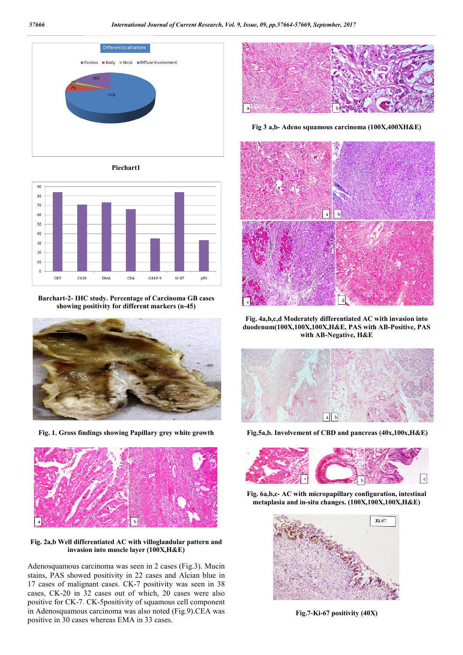

**Piechart1**



**Barchart-2- IHC study. Percentage of Carcinoma GB cases showing positivity for different markers (n-45)**



**Fig. 1. Gross findings showing Papillary grey white growth**



**Fig. 2a,b Well differentiated AC with villoglandular pattern and invasion into muscle layer (100X,H&E)** 

Adenosquamous carcinoma was seen in 2 cases (Fig.3). Mucin stains, PAS showed positivity in 22 cases and Alcian blue in 17 cases of malignant cases. CK-7 positivity was seen in 38 cases, CK-20 in 32 cases out of which, 20 cases were also positive for CK-7. CK-5positivity of squamous cell component positive for CK-7. CK-5positivity of squamous cell component<br>in Adenosquamous carcinoma was also noted (Fig.9).CEA was positive in 30 cases whereas EMA in 33 cases.



Fig 3 a,b- Adeno squamous carcinoma (100X,400XH&E)



**Fig. 4a,b,c,d Moderately differentiated AC with invasion into**  Fig. 4a,b,c,d Moderately differentiated AC with invasion into duodenum(100X,100X,100X,H&E, PAS with AB-Positive, PAS **with AB-Negative, Negative, H&E**



**Fig.5a,b. Involvement of CBD and pancreas (40x,100x,H&E)**



**Fig. 6a,b,c- AC with micropapillary configuration, intestinal metaplasia and in-situ chan AC situ changes. (100X,100X,100X,H&E)**



**Fig.7-Ki-67 positivity 67 positivity (40X)**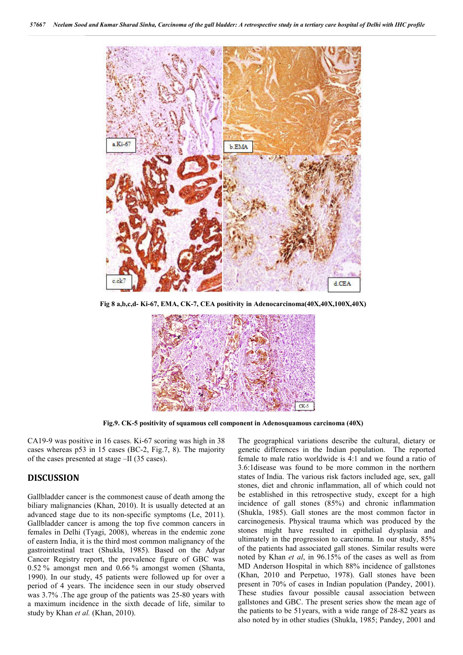

**Fig 8 a,b,c,d- Ki-67, EMA, CK-7, CEA positivity in Adenocarcinoma(40X,40X,100X,40X)**



**Fig.9. CK-5 positivity of squamous cell component in Adenosquamous carcinoma (40X)**

CA19-9 was positive in 16 cases. Ki-67 scoring was high in 38 cases whereas p53 in 15 cases (BC-2, Fig.7, 8). The majority of the cases presented at stage –II (35 cases).

### **DISCUSSION**

Gallbladder cancer is the commonest cause of death among the biliary malignancies (Khan, 2010). It is usually detected at an advanced stage due to its non-specific symptoms (Le, 2011). Gallbladder cancer is among the top five common cancers in females in Delhi (Tyagi, 2008), whereas in the endemic zone of eastern India, it is the third most common malignancy of the gastrointestinal tract (Shukla, 1985). Based on the Adyar Cancer Registry report, the prevalence figure of GBC was 0.52 % amongst men and 0.66 % amongst women (Shanta, 1990). In our study, 45 patients were followed up for over a period of 4 years. The incidence seen in our study observed was 3.7% .The age group of the patients was 25-80 years with a maximum incidence in the sixth decade of life, similar to study by Khan *et al.* (Khan, 2010).

The geographical variations describe the cultural, dietary or genetic differences in the Indian population. The reported female to male ratio worldwide is 4:1 and we found a ratio of 3.6:1disease was found to be more common in the northern states of India. The various risk factors included age, sex, gall stones, diet and chronic inflammation, all of which could not be established in this retrospective study, except for a high incidence of gall stones (85%) and chronic inflammation (Shukla, 1985). Gall stones are the most common factor in carcinogenesis. Physical trauma which was produced by the stones might have resulted in epithelial dysplasia and ultimately in the progression to carcinoma. In our study, 85% of the patients had associated gall stones. Similar results were noted by Khan *et al*, in 96.15% of the cases as well as from MD Anderson Hospital in which 88% incidence of gallstones (Khan, 2010 and Perpetuo, 1978). Gall stones have been present in 70% of cases in Indian population (Pandey, 2001). These studies favour possible causal association between gallstones and GBC. The present series show the mean age of the patients to be 51years, with a wide range of 28-82 years as also noted by in other studies (Shukla, 1985; Pandey, 2001 and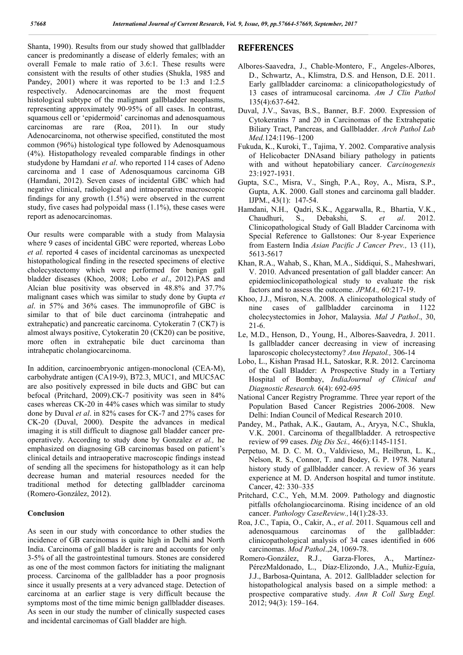Shanta, 1990). Results from our study showed that gallbladder cancer is predominantly a disease of elderly females; with an overall Female to male ratio of 3.6:1. These results were consistent with the results of other studies (Shukla, 1985 and Pandey, 2001) where it was reported to be 1:3 and 1:2.5 respectively. Adenocarcinomas are the most frequent histological subtype of the malignant gallbladder neoplasms, representing approximately 90-95% of all cases. In contrast, squamous cell or 'epidermoid' carcinomas and adenosquamous carcinomas are rare (Roa, 2011). In our study Adenocarcinoma, not otherwise specified, constituted the most common (96%) histological type followed by Adenosquamous (4%). Histopathology revealed comparable findings in other studydone by Hamdani *et al*. who reported 114 cases of Adeno carcinoma and 1 case of Adenosquamous carcinoma GB (Hamdani, 2012). Seven cases of incidental GBC which had negative clinical, radiological and intraoperative macroscopic findings for any growth (1.5%) were observed in the current study, five cases had polypoidal mass  $(1.1\%)$ , these cases were report as adenocarcinomas.

Our results were comparable with a study from Malaysia where 9 cases of incidental GBC were reported, whereas Lobo *et al.* reported 4 cases of incidental carcinomas as unexpected histopathological finding in the resected specimens of elective cholecystectomy which were performed for benign gall bladder diseases (Khoo, 2008; Lobo *et al*., 2012).PAS and Alcian blue positivity was observed in 48.8% and 37.7% malignant cases which was similar to study done by Gupta *et al*. in 57% and 36% cases. The immunoprofile of GBC is similar to that of bile duct carcinoma (intrahepatic and extrahepatic) and pancreatic carcinoma. Cytokeratin 7 (CK7) is almost always positive, Cytokeratin 20 (CK20) can be positive, more often in extrahepatic bile duct carcinoma than intrahepatic cholangiocarcinoma.

In addition, carcinoembryonic antigen-monoclonal (CEA-M), carbohydrate antigen (CA19-9), B72.3, MUC1, and MUC5AC are also positively expressed in bile ducts and GBC but can befocal (Pritchard, 2009).CK-7 positivity was seen in 84% cases whereas CK-20 in 44% cases which was similar to study done by Duval *et al*. in 82% cases for CK-7 and 27% cases for CK-20 (Duval, 2000). Despite the advances in medical imaging it is still difficult to diagnose gall bladder cancer preoperatively. According to study done by Gonzalez *et al.,* he emphasized on diagnosing GB carcinomas based on patient's clinical details and intraoperative macroscopic findings instead of sending all the specimens for histopathology as it can help decrease human and material resources needed for the traditional method for detecting gallbladder carcinoma (Romero-González, 2012).

#### **Conclusion**

As seen in our study with concordance to other studies the incidence of GB carcinomas is quite high in Delhi and North India. Carcinoma of gall bladder is rare and accounts for only 3-5% of all the gastrointestinal tumours. Stones are considered as one of the most common factors for initiating the malignant process. Carcinoma of the gallbladder has a poor prognosis since it usually presents at a very advanced stage. Detection of carcinoma at an earlier stage is very difficult because the symptoms most of the time mimic benign gallbladder diseases. As seen in our study the number of clinically suspected cases and incidental carcinomas of Gall bladder are high.

## **REFERENCES**

- Albores-Saavedra, J., Chable-Montero, F., Angeles-Albores, D., Schwartz, A., Klimstra, D.S. and Henson, D.E. 2011. Early gallbladder carcinoma: a clinicopathologicstudy of 13 cases of intramucosal carcinoma. *Am J Clin Pathol* 135(4):637-642.
- Duval, J.V., Savas, B.S., Banner, B.F. 2000. Expression of Cytokeratins 7 and 20 in Carcinomas of the Extrahepatic Biliary Tract, Pancreas, and Gallbladder. *Arch Pathol Lab Med.*124:1196–1200
- Fukuda, K., Kuroki, T., Tajima, Y. 2002. Comparative analysis of Helicobacter DNAsand biliary pathology in patients with and without hepatobiliary cancer. *Carcinogenesis* 23:1927-1931.
- Gupta, S.C., Misra, V., Singh, P.A., Roy, A., Misra, S.P., Gupta, A.K. 2000. Gall stones and carcinoma gall bladder. IJPM., 43(1): 147-54.
- Hamdani, N.H., Qadri, S.K., Aggarwalla, R., Bhartia, V.K., Chaudhuri, S., Debakshi, S. *et al*. 2012. Clinicopathological Study of Gall Bladder Carcinoma with Special Reference to Gallstones: Our 8-year Experience from Eastern India *Asian Pacific J Cancer Prev.,* 13 (11), 5613-5617
- Khan, R.A., Wahab, S., Khan, M.A., Siddiqui, S., Maheshwari, V. 2010. Advanced presentation of gall bladder cancer: An epidemioclinicopathological study to evaluate the risk factors and to assess the outcome. *JPMA.,* 60:217-19.
- Khoo, J.J., Misron, N.A. 2008. A clinicopathological study of nine cases of gallbladder carcinoma in 1122 cholecystectomies in Johor, Malaysia. *Mal J Pathol*., 30, 21-6.
- Le, M.D., Henson, D., Young, H., Albores-Saavedra, J. 2011. Is gallbladder cancer decreasing in view of increasing laparoscopic cholecystectomy? *Ann Hepatol.,* 306-14
- Lobo, L., Kishan Prasad H.L, Satoskar, R.R. 2012. Carcinoma of the Gall Bladder: A Prospective Study in a Tertiary Hospital of Bombay, *IndiaJournal of Clinical and Diagnostic Research.* 6(4): 692-695
- National Cancer Registry Programme. Three year report of the Population Based Cancer Registries 2006-2008. New Delhi: Indian Council of Medical Research 2010.
- Pandey, M., Pathak, A.K., Gautam, A., Aryya, N.C., Shukla, V.K. 2001. Carcinoma of thegallbladder. A retrospective review of 99 cases. *Dig Dis Sci.,* 46(6):1145-1151.
- Perpetuo, M. D. C. M. O., Valdivieso, M., Heilbrun, L. K., Nelson, R. S., Connor, T. and Bodey, G. P. 1978. Natural history study of gallbladder cancer. A review of 36 years experience at M. D. Anderson hospital and tumor institute. Cancer, 42: 330–335
- Pritchard, C.C., Yeh, M.M. 2009. Pathology and diagnostic pitfalls ofcholangiocarcinoma. Rising incidence of an old cancer. *Pathology CaseReview.,*14(1):28-33.
- Roa, J.C., Tapia, O., Cakir, A., *et al*. 2011. Squamous cell and adenosquamous carcinomas of the gallbladder: clinicopathological analysis of 34 cases identified in 606 carcinomas. *Mod Pathol*.,24, 1069-78.
- Romero-González, R.J., Garza-Flores, A., Martínez-PérezMaldonado, L., Díaz-Elizondo, J.A., Muñiz-Eguía, J.J., Barbosa-Quintana, A. 2012. Gallbladder selection for histopathological analysis based on a simple method: a prospective comparative study. *Ann R Coll Surg Engl.* 2012; 94(3): 159–164.